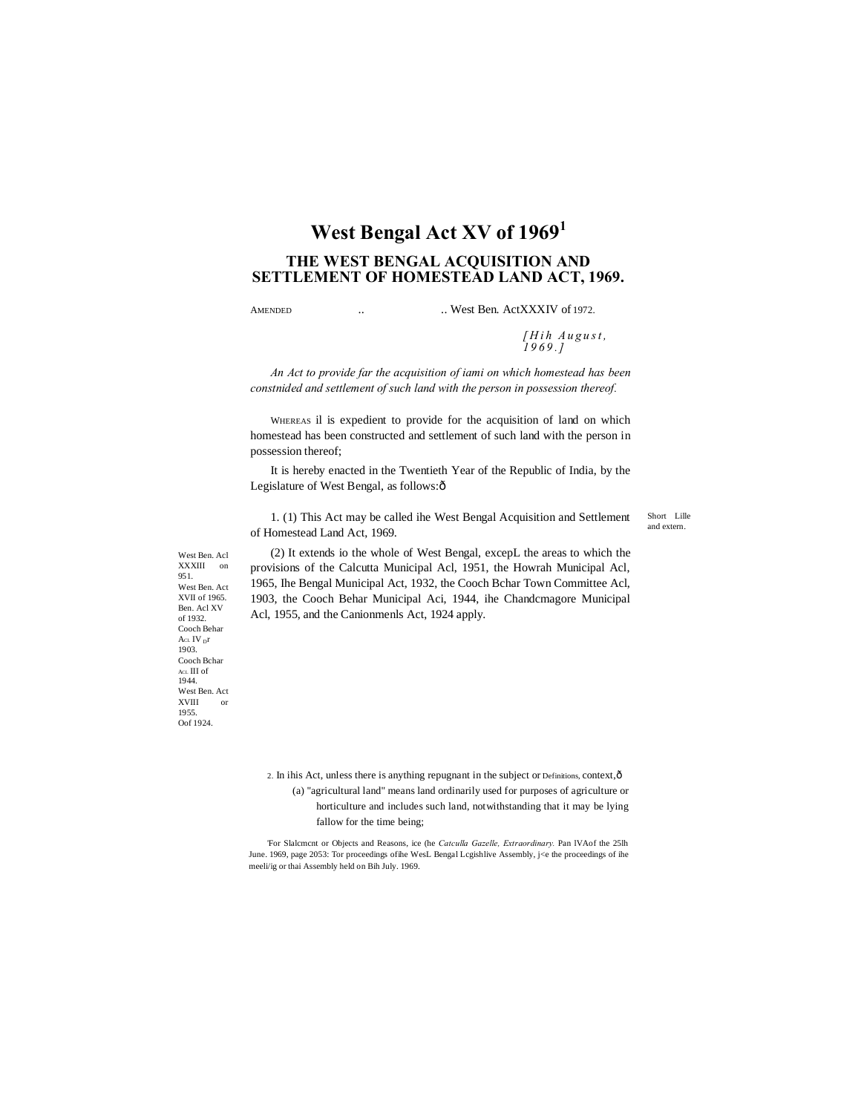# **West Bengal Act XV of 1969<sup>1</sup>**

## **THE WEST BENGAL ACQUISITION AND SETTLEMENT OF HOMESTEAD LAND ACT, 1969.**

#### AMENDED ... West Ben. ActXXXIV of 1972.

*[ H i h A u g u s t , 1 9 6 9 . ]*

*An Act to provide far the acquisition of iami on which homestead has been constnided and settlement of such land with the person in possession thereof.*

WHEREAS il is expedient to provide for the acquisition of land on which homestead has been constructed and settlement of such land with the person in possession thereof;

It is hereby enacted in the Twentieth Year of the Republic of India, by the Legislature of West Bengal, as follows: $\hat{o}$ 

1. (1) This Act may be called ihe West Bengal Acquisition and Settlement of Homestead Land Act, 1969.

Short Lille and extern.

(2) It extends io the whole of West Bengal, excepL the areas to which the provisions of the Calcutta Municipal Acl, 1951, the Howrah Municipal Acl, 1965, Ihe Bengal Municipal Act, 1932, the Cooch Bchar Town Committee Acl, 1903, the Cooch Behar Municipal Aci, 1944, ihe Chandcmagore Municipal Acl, 1955, and the Canionmenls Act, 1924 apply.

Cooch Behar Acl IV pr 1903. Cooch Bchar ACL III of 1944. West Ben. Act XVIII or 1955. Oof 1924.

West Ben. Acl XXXIII on 951. West Ben. Act XVII of 1965. Ben. Acl XV of 1932.

> 2. In ihis Act, unless there is anything repugnant in the subject or Definitions, context, ô (a) "agricultural land" means land ordinarily used for purposes of agriculture or horticulture and includes such land, notwithstanding that it may be lying fallow for the time being;

'For Slalcmcnt or Objects and Reasons, ice (he *Catculla Gazelle, Extraordinary.* Pan lVAof the 25lh June. 1969, page 2053: Tor proceedings ofihe WesL Bengal Lcgishlive Assembly, j<e the proceedings of ihe meeli/ig or thai Assembly held on Bih July. 1969.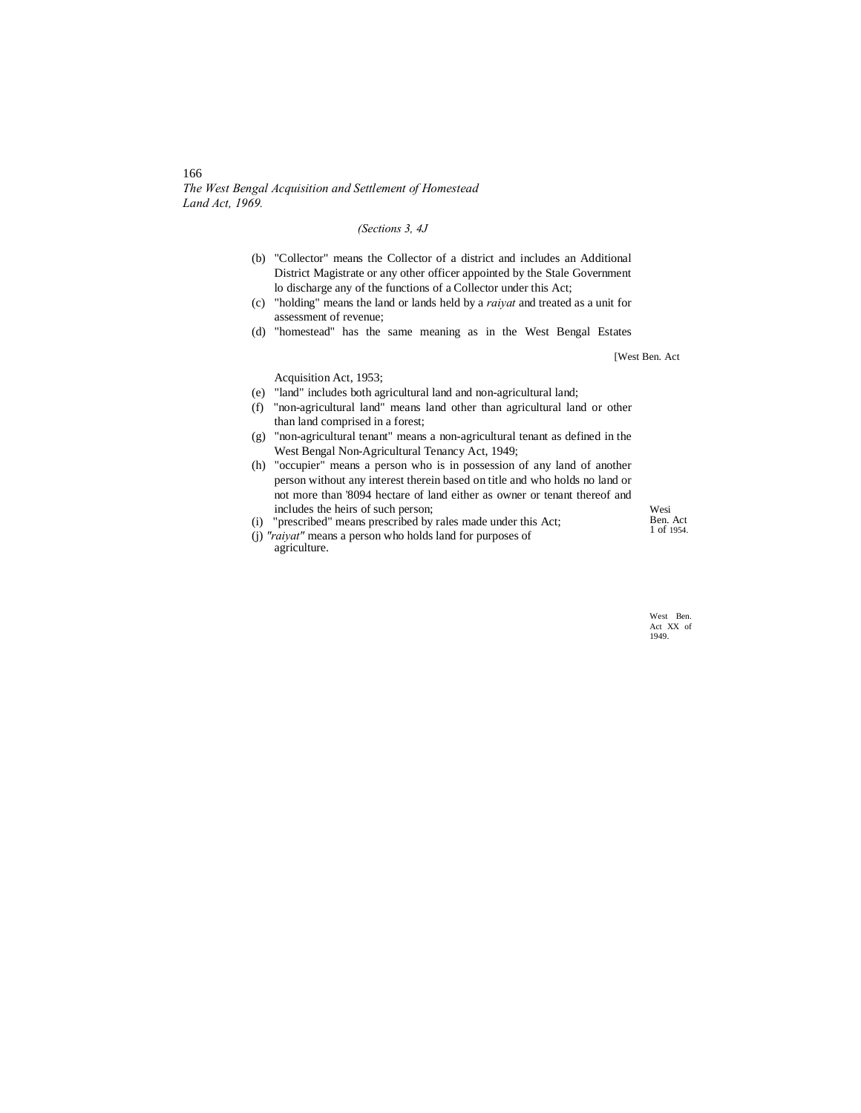*The West Bengal Acquisition and Settlement of Homestead Land Act, 1969.*

## *(Sections 3, 4J*

- (b) "Collector" means the Collector of a district and includes an Additional District Magistrate or any other officer appointed by the Stale Government lo discharge any of the functions of a Collector under this Act;
- (c) "holding" means the land or lands held by a *raiyat* and treated as a unit for assessment of revenue;
- (d) "homestead" has the same meaning as in the West Bengal Estates

[West Ben. Act

Acquisition Act, 1953;

- (e) "land" includes both agricultural land and non-agricultural land;
- (f) "non-agricultural land" means land other than agricultural land or other than land comprised in a forest;
- (g) "non-agricultural tenant" means a non-agricultural tenant as defined in the West Bengal Non-Agricultural Tenancy Act, 1949;
- (h) "occupier" means a person who is in possession of any land of another person without any interest therein based on title and who holds no land or not more than '8094 hectare of land either as owner or tenant thereof and includes the heirs of such person;

(i) "prescribed" means prescribed by rales made under this Act;

Wesi Ben. Act 1 of 1954.

(j) *"raiyat"* means a person who holds land for purposes of agriculture.

> West Ben. Act XX of 1949.

## 166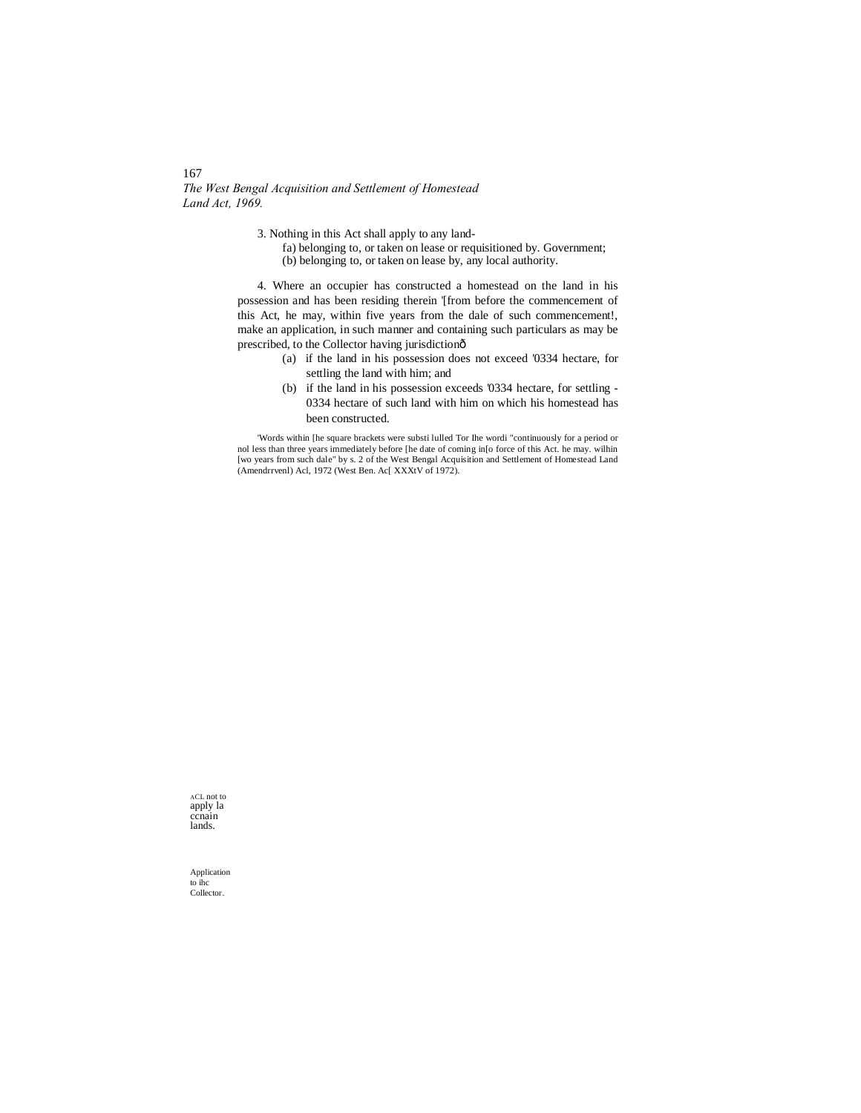167 *The West Bengal Acquisition and Settlement of Homestead Land Act, 1969.*

3. Nothing in this Act shall apply to any land-

fa) belonging to, or taken on lease or requisitioned by. Government; (b) belonging to, or taken on lease by, any local authority.

4. Where an occupier has constructed a homestead on the land in his possession and has been residing therein '[from before the commencement of this Act, he may, within five years from the dale of such commencement!, make an application, in such manner and containing such particulars as may be prescribed, to the Collector having jurisdiction—

- (a) if the land in his possession does not exceed '0334 hectare, for settling the land with him; and
- (b) if the land in his possession exceeds '0334 hectare, for settling 0334 hectare of such land with him on which his homestead has been constructed.

'Words within [he square brackets were substi lulled Tor Ihe wordi "continuously for a period or nol less than three years immediately before [he date of coming in[o force of this Act. he may. wilhin [wo years from such dale" by s. 2 of the West Bengal Acquisition and Settlement of Homestead Land (Amendrrvenl) Acl, 1972 (West Ben. Ac[ XXXtV of 1972).

ACL not to apply la ccnain lands.

Application to ihc Collector.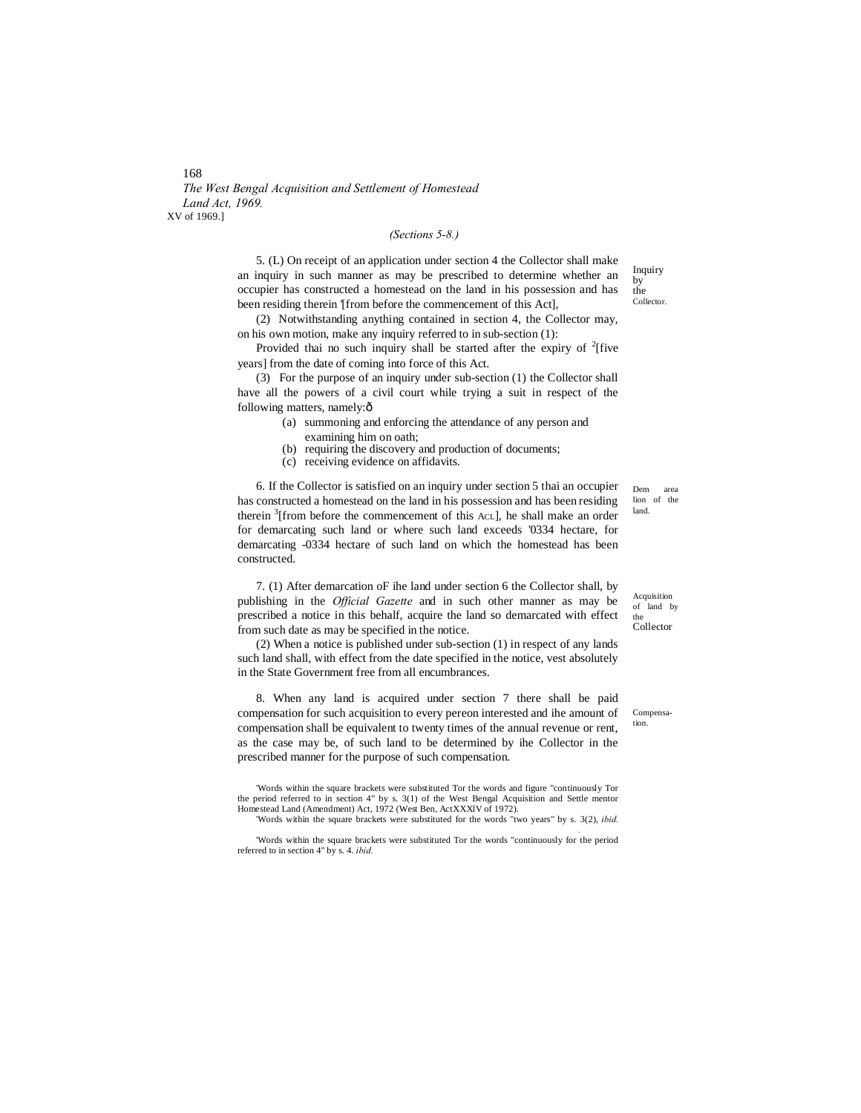*The West Bengal Acquisition and Settlement of Homestead Land Act, 1969.* XV of 1969.]

#### *(Sections 5-8.)*

5. (L) On receipt of an application under section 4 the Collector shall make an inquiry in such manner as may be prescribed to determine whether an occupier has constructed a homestead on the land in his possession and has been residing therein '[from before the commencement of this Act].

(2) Notwithstanding anything contained in section 4, the Collector may, on his own motion, make any inquiry referred to in sub-section (1):

Provided thai no such inquiry shall be started after the expiry of  $2$ [five years] from the date of coming into force of this Act.

(3) For the purpose of an inquiry under sub-section (1) the Collector shall have all the powers of a civil court while trying a suit in respect of the following matters, namely: $\hat{o}$ 

- (a) summoning and enforcing the attendance of any person and examining him on oath;
- (b) requiring the discovery and production of documents;
- (c) receiving evidence on affidavits.

6. If the Collector is satisfied on an inquiry under section 5 thai an occupier has constructed a homestead on the land in his possession and has been residing therein  $3$ [from before the commencement of this AcL], he shall make an order for demarcating such land or where such land exceeds '0334 hectare, for demarcating -0334 hectare of such land on which the homestead has been constructed.

7. (1) After demarcation oF ihe land under section 6 the Collector shall, by publishing in the *Official Gazette* and in such other manner as may be prescribed a notice in this behalf, acquire the land so demarcated with effect from such date as may be specified in the notice.

(2) When a notice is published under sub-section (1) in respect of any lands such land shall, with effect from the date specified in the notice, vest absolutely in the State Government free from all encumbrances.

8. When any land is acquired under section 7 there shall be paid compensation for such acquisition to every pereon interested and ihe amount of compensation shall be equivalent to twenty times of the annual revenue or rent, as the case may be, of such land to be determined by ihe Collector in the prescribed manner for the purpose of such compensation.

'Words within the square brackets were substituted Tor the words and figure "continuously Tor the period referred to in section 4" by s. 3(1) of the West Bengal Acquisition and Settle mentor Homestead Land (Amendment) Act, 1972 (West Ben, ActXXXlV of 1972).

'Words within the square brackets were substituted for the words "two years" by s. 3(2), *ibid. .* 'Words within the square brackets were substituted Tor the words "continuously for the period

referred to in section 4" by s. 4. *ibid.*

Dem area lion of the land.

Acquisition of land by the Collector

Compensation.

Inquiry by the Collector.

168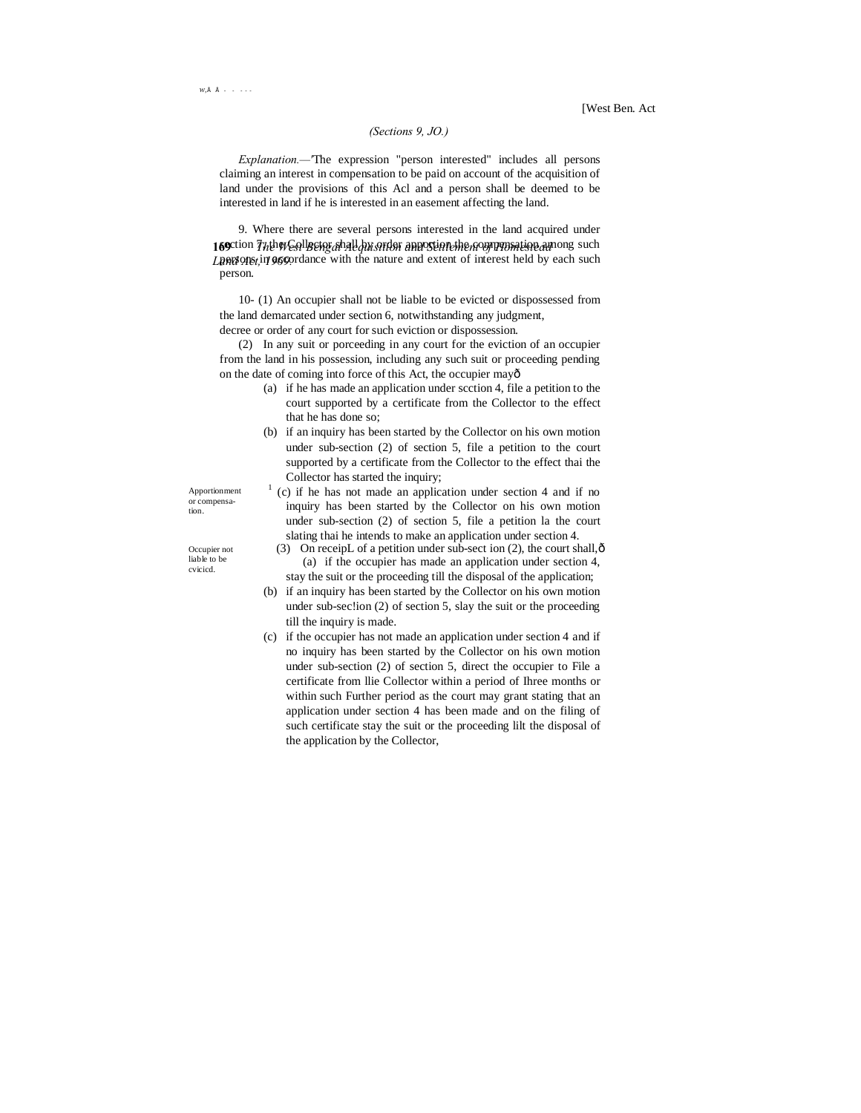## *(Sections 9, JO.)*

*Explanation.—'*The expression "person interested" includes all persons claiming an interest in compensation to be paid on account of the acquisition of land under the provisions of this Acl and a person shall be deemed to be interested in land if he is interested in an easement affecting the land.

169 ction 7<sub>th</sub>the Collector and *American* apportion the compensation among such Land Act, 17 960. The with the nature and extent of interest held by each such 9. Where there are several persons interested in the land acquired under person.

10- (1) An occupier shall not be liable to be evicted or dispossessed from the land demarcated under section 6, notwithstanding any judgment,

decree or order of any court for such eviction or dispossession.

till the inquiry is made.

(2) In any suit or porceeding in any court for the eviction of an occupier from the land in his possession, including any such suit or proceeding pending on the date of coming into force of this Act, the occupier mayô

- (a) if he has made an application under scction 4, file a petition to the court supported by a certificate from the Collector to the effect that he has done so;
- (b) if an inquiry has been started by the Collector on his own motion under sub-section (2) of section 5, file a petition to the court supported by a certificate from the Collector to the effect thai the Collector has started the inquiry;

Apportionment or compensation.

Occupier not liable to be cvicicd.

- $1$  (c) if he has not made an application under section 4 and if no inquiry has been started by the Collector on his own motion under sub-section (2) of section 5, file a petition la the court slating thai he intends to make an application under section 4.
- (3) On receipL of a petition under sub-sect ion (2), the court shall, $\hat{\text{o}}$ (a) if the occupier has made an application under section 4,
- stay the suit or the proceeding till the disposal of the application; (b) if an inquiry has been started by the Collector on his own motion under sub-sec!ion (2) of section 5, slay the suit or the proceeding
- (c) if the occupier has not made an application under section 4 and if no inquiry has been started by the Collector on his own motion under sub-section (2) of section 5, direct the occupier to File a certificate from llie Collector within a period of Ihree months or within such Further period as the court may grant stating that an application under section 4 has been made and on the filing of such certificate stay the suit or the proceeding lilt the disposal of the application by the Collector,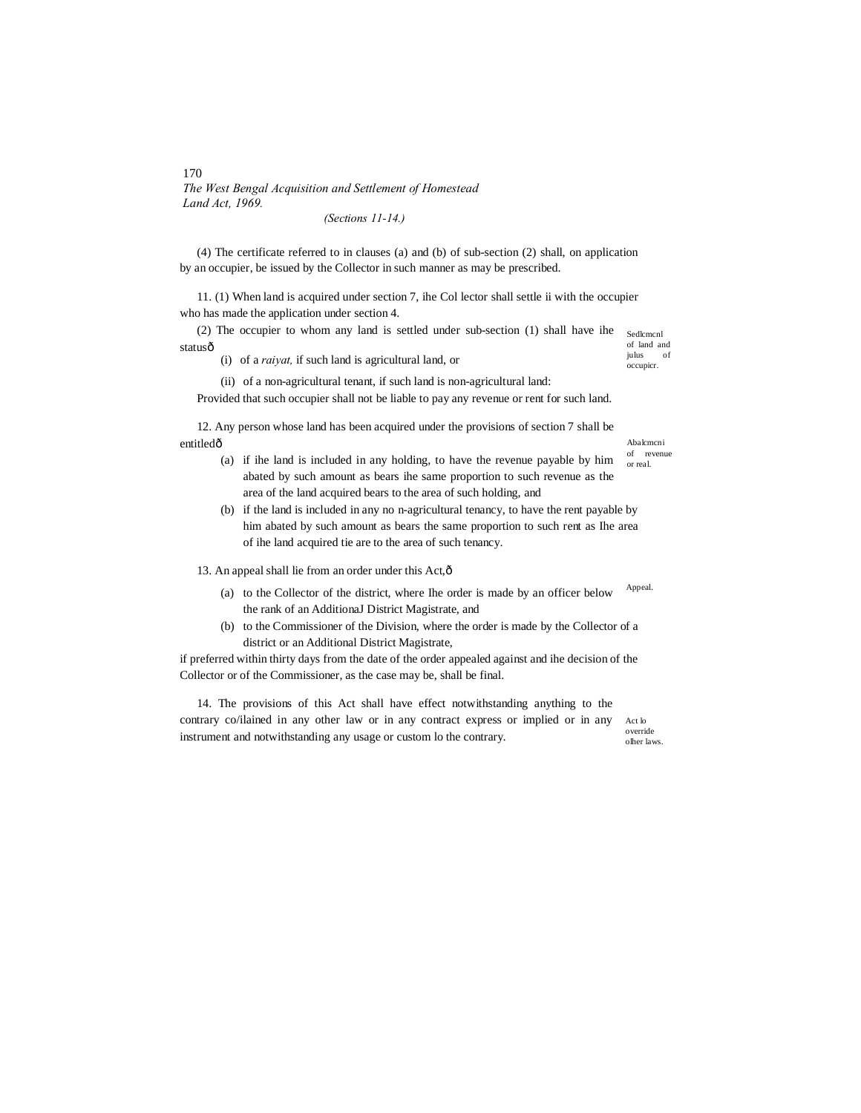## *The West Bengal Acquisition and Settlement of Homestead Land Act, 1969. (Sections 11-14.)*

(4) The certificate referred to in clauses (a) and (b) of sub-section (2) shall, on application by an occupier, be issued by the Collector in such manner as may be prescribed.

11. (1) When land is acquired under section 7, ihe Col lector shall settle ii with the occupier who has made the application under section 4.

(2) The occupier to whom any land is settled under sub-section (1) shall have ihe statusô

(i) of a *raiyat,* if such land is agricultural land, or

Sedlcmcnl of land and julus of occupicr.

Abalcmcni of revenue or real.

(ii) of a non-agricultural tenant, if such land is non-agricultural land:

Provided that such occupier shall not be liable to pay any revenue or rent for such land.

12. Any person whose land has been acquired under the provisions of section 7 shall be entitledô

- (a) if ihe land is included in any holding, to have the revenue payable by him abated by such amount as bears ihe same proportion to such revenue as the area of the land acquired bears to the area of such holding, and
- (b) if the land is included in any no n-agricultural tenancy, to have the rent payable by him abated by such amount as bears the same proportion to such rent as Ihe area of ihe land acquired tie are to the area of such tenancy.

13. An appeal shall lie from an order under this Act, ô

- Appeal. (a) to the Collector of the district, where Ihe order is made by an officer below the rank of an AdditionaJ District Magistrate, and
- (b) to the Commissioner of the Division, where the order is made by the Collector of a district or an Additional District Magistrate,

if preferred within thirty days from the date of the order appealed against and ihe decision of the Collector or of the Commissioner, as the case may be, shall be final.

Act lo 14. The provisions of this Act shall have effect notwithstanding anything to the contrary co/ilained in any other law or in any contract express or implied or in any instrument and notwithstanding any usage or custom lo the contrary.

override olher laws.

170